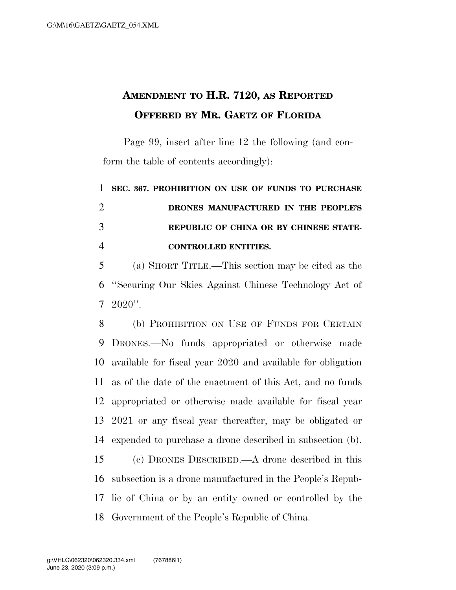## **AMENDMENT TO H.R. 7120, AS REPORTED OFFERED BY MR. GAETZ OF FLORIDA**

Page 99, insert after line 12 the following (and conform the table of contents accordingly):

 **SEC. 367. PROHIBITION ON USE OF FUNDS TO PURCHASE DRONES MANUFACTURED IN THE PEOPLE'S REPUBLIC OF CHINA OR BY CHINESE STATE-CONTROLLED ENTITIES.** 

 (a) SHORT TITLE.—This section may be cited as the ''Securing Our Skies Against Chinese Technology Act of  $7\,2020$ ".

 (b) PROHIBITION ON USE OF FUNDS FOR CERTAIN DRONES.—No funds appropriated or otherwise made available for fiscal year 2020 and available for obligation as of the date of the enactment of this Act, and no funds appropriated or otherwise made available for fiscal year 2021 or any fiscal year thereafter, may be obligated or expended to purchase a drone described in subsection (b).

 (c) DRONES DESCRIBED.—A drone described in this subsection is a drone manufactured in the People's Repub- lic of China or by an entity owned or controlled by the Government of the People's Republic of China.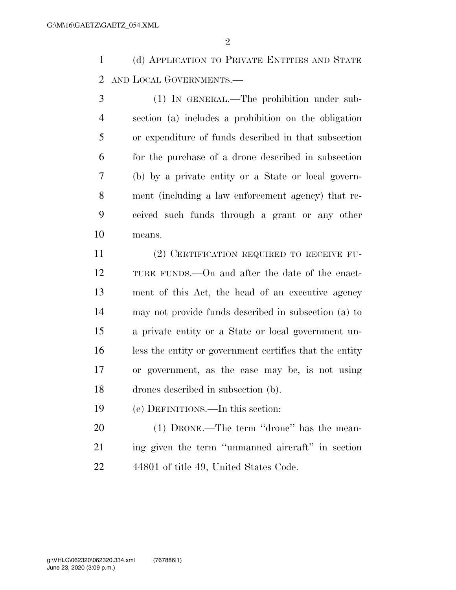$\mathfrak{D}$ 

 (d) APPLICATION TO PRIVATE ENTITIES AND STATE AND LOCAL GOVERNMENTS.—

 (1) IN GENERAL.—The prohibition under sub- section (a) includes a prohibition on the obligation or expenditure of funds described in that subsection for the purchase of a drone described in subsection (b) by a private entity or a State or local govern- ment (including a law enforcement agency) that re- ceived such funds through a grant or any other means.

 (2) CERTIFICATION REQUIRED TO RECEIVE FU- TURE FUNDS.—On and after the date of the enact- ment of this Act, the head of an executive agency may not provide funds described in subsection (a) to a private entity or a State or local government un- less the entity or government certifies that the entity or government, as the case may be, is not using drones described in subsection (b).

(e) DEFINITIONS.—In this section:

 (1) DRONE.—The term ''drone'' has the mean- ing given the term ''unmanned aircraft'' in section 44801 of title 49, United States Code.